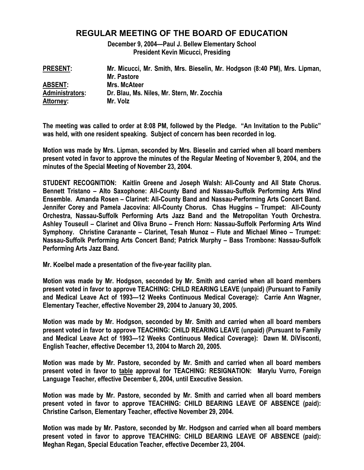## **REGULAR MEETING OF THE BOARD OF EDUCATION**

**December 9, 2004—Paul J. Bellew Elementary School President Kevin Micucci, Presiding** 

| <b>PRESENT:</b>  | Mr. Micucci, Mr. Smith, Mrs. Bieselin, Mr. Hodgson (8:40 PM), Mrs. Lipman, |
|------------------|----------------------------------------------------------------------------|
|                  | Mr. Pastore                                                                |
| <b>ABSENT:</b>   | <b>Mrs. McAteer</b>                                                        |
| Administrators:  | Dr. Blau, Ms. Niles, Mr. Stern, Mr. Zocchia                                |
| <b>Attorney:</b> | Mr. Volz                                                                   |

**The meeting was called to order at 8:08 PM, followed by the Pledge. "An Invitation to the Public" was held, with one resident speaking. Subject of concern has been recorded in log.** 

**Motion was made by Mrs. Lipman, seconded by Mrs. Bieselin and carried when all board members present voted in favor to approve the minutes of the Regular Meeting of November 9, 2004, and the minutes of the Special Meeting of November 23, 2004.** 

**STUDENT RECOGNITION: Kaitlin Greene and Joseph Walsh: All-County and All State Chorus. Bennett Tristano – Alto Saxophone: All-County Band and Nassau-Suffolk Performing Arts Wind Ensemble. Amanda Rosen – Clarinet: All-County Band and Nassau-Performing Arts Concert Band. Jennifer Corey and Pamela Jacovina: All-County Chorus. Chas Huggins – Trumpet: All-County Orchestra, Nassau-Suffolk Performing Arts Jazz Band and the Metropolitan Youth Orchestra. Ashley Touseull – Clarinet and Oliva Bruno – French Horn: Nassau-Suffolk Performing Arts Wind Symphony. Christine Caranante – Clarinet, Tesah Munoz – Flute and Michael Mineo – Trumpet: Nassau-Suffolk Performing Arts Concert Band; Patrick Murphy – Bass Trombone: Nassau-Suffolk Performing Arts Jazz Band.** 

**Mr. Koelbel made a presentation of the five-year facility plan.** 

**Motion was made by Mr. Hodgson, seconded by Mr. Smith and carried when all board members present voted in favor to approve TEACHING: CHILD REARING LEAVE (unpaid) (Pursuant to Family and Medical Leave Act of 1993—12 Weeks Continuous Medical Coverage): Carrie Ann Wagner, Elementary Teacher, effective November 29, 2004 to January 30, 2005.** 

**Motion was made by Mr. Hodgson, seconded by Mr. Smith and carried when all board members present voted in favor to approve TEACHING: CHILD REARING LEAVE (unpaid) (Pursuant to Family and Medical Leave Act of 1993—12 Weeks Continuous Medical Coverage): Dawn M. DiVisconti, English Teacher, effective December 13, 2004 to March 20, 2005.** 

**Motion was made by Mr. Pastore, seconded by Mr. Smith and carried when all board members present voted in favor to table approval for TEACHING: RESIGNATION: Marylu Vurro, Foreign Language Teacher, effective December 6, 2004, until Executive Session.** 

**Motion was made by Mr. Pastore, seconded by Mr. Smith and carried when all board members present voted in favor to approve TEACHING: CHILD BEARING LEAVE OF ABSENCE (paid): Christine Carlson, Elementary Teacher, effective November 29, 2004.** 

**Motion was made by Mr. Pastore, seconded by Mr. Hodgson and carried when all board members present voted in favor to approve TEACHING: CHILD BEARING LEAVE OF ABSENCE (paid): Meghan Regan, Special Education Teacher, effective December 23, 2004.**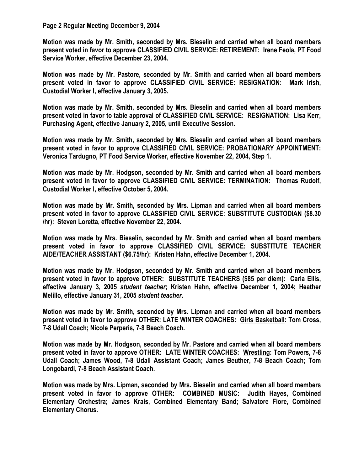## **Page 2 Regular Meeting December 9, 2004**

**Motion was made by Mr. Smith, seconded by Mrs. Bieselin and carried when all board members present voted in favor to approve CLASSIFIED CIVIL SERVICE: RETIREMENT: Irene Feola, PT Food Service Worker, effective December 23, 2004.** 

**Motion was made by Mr. Pastore, seconded by Mr. Smith and carried when all board members present voted in favor to approve CLASSIFIED CIVIL SERVICE: RESIGNATION: Mark Irish, Custodial Worker I, effective January 3, 2005.** 

**Motion was made by Mr. Smith, seconded by Mrs. Bieselin and carried when all board members present voted in favor to table approval of CLASSIFIED CIVIL SERVICE: RESIGNATION: Lisa Kerr, Purchasing Agent, effective January 2, 2005, until Executive Session.** 

**Motion was made by Mr. Smith, seconded by Mrs. Bieselin and carried when all board members present voted in favor to approve CLASSIFIED CIVIL SERVICE: PROBATIONARY APPOINTMENT: Veronica Tardugno, PT Food Service Worker, effective November 22, 2004, Step 1.** 

**Motion was made by Mr. Hodgson, seconded by Mr. Smith and carried when all board members present voted in favor to approve CLASSIFIED CIVIL SERVICE: TERMINATION: Thomas Rudolf, Custodial Worker I, effective October 5, 2004.** 

**Motion was made by Mr. Smith, seconded by Mrs. Lipman and carried when all board members present voted in favor to approve CLASSIFIED CIVIL SERVICE: SUBSTITUTE CUSTODIAN (\$8.30 /hr): Steven Loretta, effective November 22, 2004.** 

**Motion was made by Mrs. Bieselin, seconded by Mr. Smith and carried when all board members present voted in favor to approve CLASSIFIED CIVIL SERVICE: SUBSTITUTE TEACHER AIDE/TEACHER ASSISTANT (\$6.75/hr): Kristen Hahn, effective December 1, 2004.** 

**Motion was made by Mr. Hodgson, seconded by Mr. Smith and carried when all board members present voted in favor to approve OTHER: SUBSTITUTE TEACHERS (\$85 per diem): Carla Ellis, effective January 3, 2005** *student teacher***; Kristen Hahn, effective December 1, 2004; Heather Melillo, effective January 31, 2005** *student teacher***.** 

**Motion was made by Mr. Smith, seconded by Mrs. Lipman and carried when all board members present voted in favor to approve OTHER: LATE WINTER COACHES: Girls Basketball: Tom Cross, 7-8 Udall Coach; Nicole Perperis, 7-8 Beach Coach.** 

**Motion was made by Mr. Hodgson, seconded by Mr. Pastore and carried when all board members present voted in favor to approve OTHER: LATE WINTER COACHES: Wrestling: Tom Powers, 7-8 Udall Coach; James Wood, 7-8 Udall Assistant Coach; James Beuther, 7-8 Beach Coach; Tom Longobardi, 7-8 Beach Assistant Coach.** 

**Motion was made by Mrs. Lipman, seconded by Mrs. Bieselin and carried when all board members present voted in favor to approve OTHER: COMBINED MUSIC: Judith Hayes, Combined Elementary Orchestra; James Krais, Combined Elementary Band; Salvatore Fiore, Combined Elementary Chorus.**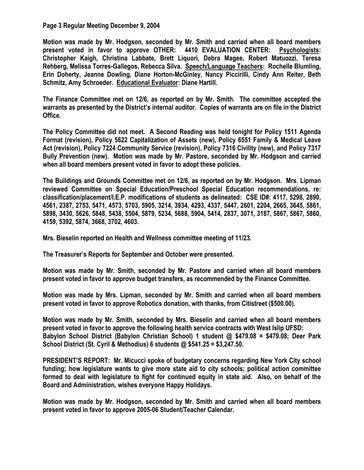## **Page 3 Regular Meeting December 9, 2004**

**Motion was made by Mr. Hodgson, seconded by Mr. Smith and carried when all board members present voted in favor to approve OTHER: 4410 EVALUATION CENTER: Psychologists: Christopher Kaigh, Christina Labbate, Brett Liquori, Debra Magee, Robert Matuozzi, Teresa Rehberg, Melissa Torres-Gallegos, Rebecca Silva. Speech/Language Teachers: Rochelle Blumling, Erin Doherty, Jeanne Dowling, Diane Horton-McGinley, Nancy Piccirilli, Cindy Ann Reiter, Beth Schmitz, Amy Schroeder. Educational Evaluator: Diane Hartill.** 

**The Finance Committee met on 12/6, as reported on by Mr. Smith. The committee accepted the warrants as presented by the District's internal auditor. Copies of warrants are on file in the District Office.** 

**The Policy Committee did not meet. A Second Reading was held tonight for Policy 1511 Agenda Format (revision), Policy 5622 Capitalization of Assets (new), Policy 6551 Family & Medical Leave Act (revision), Policy 7224 Community Service (revision), Policy 7316 Civility (new), and Policy 7317 Bully Prevention (new). Motion was made by Mr. Pastore, seconded by Mr. Hodgson and carried when all board members present voted in favor to adopt these policies.** 

**The Buildings and Grounds Committee met on 12/6, as reported on by Mr. Hodgson. Mrs. Lipman reviewed Committee on Special Education/Preschool Special Education recommendations, re: classification/placement/I.E.P. modifications of students as delineated: CSE ID#: 4117, 5298, 2890, 4561, 2387, 2753, 5471, 4573, 5703, 5905, 3214, 3934, 4293, 4337, 5447, 2601, 2204, 2665, 3645, 5861, 5898, 3430, 5626, 5848, 5438, 5504, 5879, 5234, 5688, 5904, 5414, 2837, 3071, 3187, 5867, 5867, 5860, 4159, 5392, 5874, 3668, 3702, 4603.** 

**Mrs. Bieselin reported on Health and Wellness committee meeting of 11/23.** 

**The Treasurer's Reports for September and October were presented.** 

**Motion was made by Mr. Smith, seconded by Mr. Pastore and carried when all board members present voted in favor to approve budget transfers, as recommended by the Finance Committee.** 

**Motion was made by Mrs. Lipman, seconded by Mr. Smith and carried when all board members present voted in favor to approve Robotics donation, with thanks, from Citistreet (\$500.00).** 

**Motion was made by Mr. Smith, seconded by Mrs. Bieselin and carried when all board members present voted in favor to approve the following health service contracts with West Islip UFSD: Babylon School District (Babylon Christian School) 1 student @ \$479.08 = \$479.08; Deer Park School District (St. Cyril & Methodius) 6 students @ \$541.25 = \$3,247.50.** 

**PRESIDENT'S REPORT: Mr. Micucci spoke of budgetary concerns regarding New York City school funding; how legislature wants to give more state aid to city schools; political action committee formed to deal with legislature to fight for continued equity in state aid. Also, on behalf of the Board and Administration, wishes everyone Happy Holidays.** 

**Motion was made by Mr. Hodgson, seconded by Mr. Smith and carried when all board members present voted in favor to approve 2005-06 Student/Teacher Calendar.**